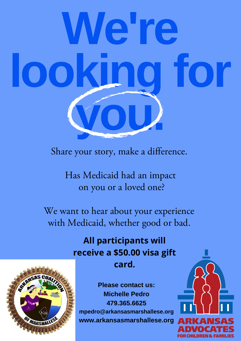## **We're looking for you.**

Share your story, make a difference.

Has Medicaid had an impact on you or a loved one?

We want to hear about your experience with Medicaid, whether good or bad.

> **All participants will receive a \$50.00 visa gift card.**

**Please contact us: Michelle Pedro 479.365.6625 mpedro@arkansasmarshallese.org [www.arkansasmarshallese.org](http://www.arkansasmarshallese.org/)**



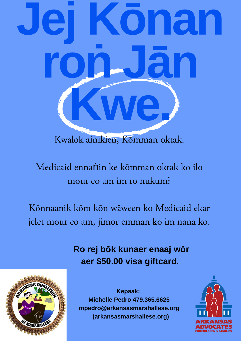# **Jej Kōnan roṅ Jān Kwe.**

Kwalok ainikien, Kōmman oktak.

Medicaid ennaṅin ke kōmman oktak ko ilo mour eo am im ro nukum?

Kōnnaanik kōm kōn wāween ko Medicaid ekar jelet mour eo am, jimor emman ko im nana ko.

> **Ro rej bōk kunaer enaaj wōr aer \$50.00 visa giftcard.**



**Kepaak: Michelle Pedro 479.365.6625 mpedro@arkansasmarshallese.org [\(arkansasmarshallese.org\)](https://www.arkansasmarshallese.org/)**

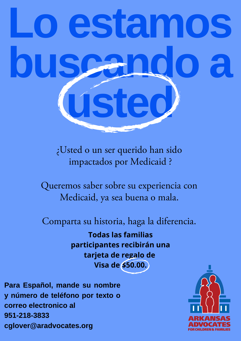### **Lo estamos buscando a usted**

¿Usted o un ser querido han sido impactados por Medicaid ?

Queremos saber sobre su experiencia con Medicaid, ya sea buena o mala.

Comparta su historia, haga la diferencia.

**Todas las familias participantes recibirán una tarjeta de regalo de Visa de \$50.00.**

**Para Español, mande su nombre y número de teléfono por texto o correo electronico al 951-218-3833 cglover@aradvocates.org**